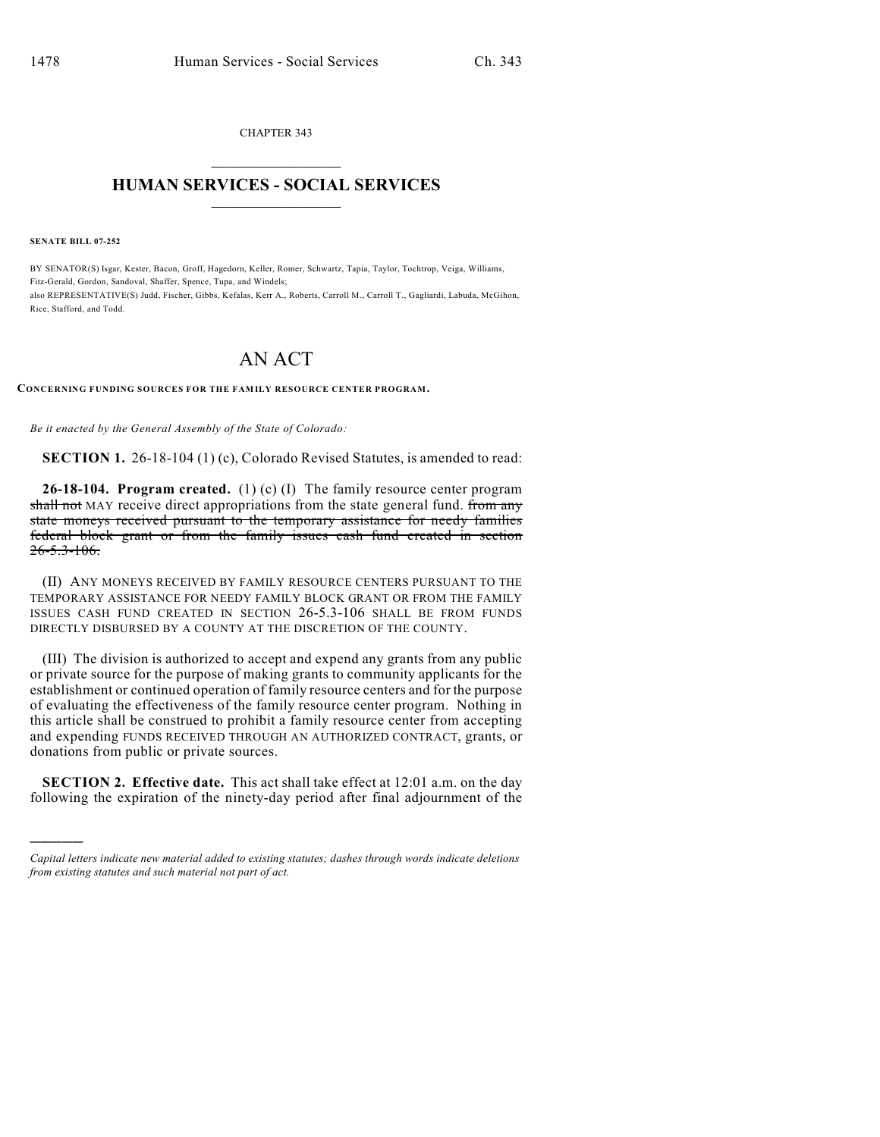CHAPTER 343  $\overline{\phantom{a}}$  . The set of the set of the set of the set of the set of the set of the set of the set of the set of the set of the set of the set of the set of the set of the set of the set of the set of the set of the set o

## **HUMAN SERVICES - SOCIAL SERVICES**  $\frac{1}{2}$  ,  $\frac{1}{2}$  ,  $\frac{1}{2}$  ,  $\frac{1}{2}$  ,  $\frac{1}{2}$  ,  $\frac{1}{2}$  ,  $\frac{1}{2}$

**SENATE BILL 07-252**

)))))

BY SENATOR(S) Isgar, Kester, Bacon, Groff, Hagedorn, Keller, Romer, Schwartz, Tapia, Taylor, Tochtrop, Veiga, Williams, Fitz-Gerald, Gordon, Sandoval, Shaffer, Spence, Tupa, and Windels; also REPRESENTATIVE(S) Judd, Fischer, Gibbs, Kefalas, Kerr A., Roberts, Carroll M., Carroll T., Gagliardi, Labuda, McGihon, Rice, Stafford, and Todd.

## AN ACT

## **CONCERNING FUNDING SOURCES FOR THE FAMILY RESOURCE CENTER PROGRAM.**

*Be it enacted by the General Assembly of the State of Colorado:*

**SECTION 1.** 26-18-104 (1) (c), Colorado Revised Statutes, is amended to read:

**26-18-104. Program created.** (1) (c) (I) The family resource center program shall not MAY receive direct appropriations from the state general fund. from any state moneys received pursuant to the temporary assistance for needy families federal block grant or from the family issues cash fund created in section  $26 - 5.3 - 106.$ 

(II) ANY MONEYS RECEIVED BY FAMILY RESOURCE CENTERS PURSUANT TO THE TEMPORARY ASSISTANCE FOR NEEDY FAMILY BLOCK GRANT OR FROM THE FAMILY ISSUES CASH FUND CREATED IN SECTION 26-5.3-106 SHALL BE FROM FUNDS DIRECTLY DISBURSED BY A COUNTY AT THE DISCRETION OF THE COUNTY.

(III) The division is authorized to accept and expend any grants from any public or private source for the purpose of making grants to community applicants for the establishment or continued operation of family resource centers and for the purpose of evaluating the effectiveness of the family resource center program. Nothing in this article shall be construed to prohibit a family resource center from accepting and expending FUNDS RECEIVED THROUGH AN AUTHORIZED CONTRACT, grants, or donations from public or private sources.

**SECTION 2. Effective date.** This act shall take effect at 12:01 a.m. on the day following the expiration of the ninety-day period after final adjournment of the

*Capital letters indicate new material added to existing statutes; dashes through words indicate deletions from existing statutes and such material not part of act.*